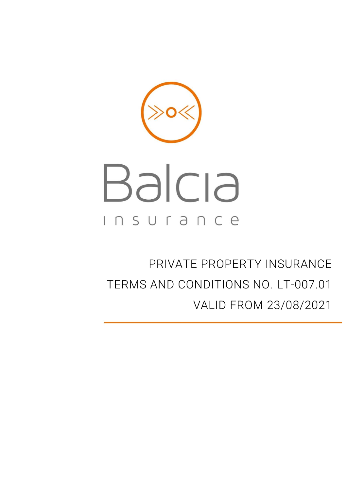<span id="page-0-0"></span>

PRIVATE PROPERTY INSURANCE TERMS AND CONDITIONS NO. LT-007.01 VALID FROM 23/08/2021

Ī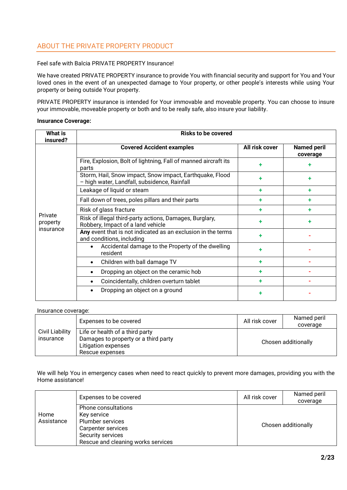# ABOUT THE PRIVATE PROPERTY PRODUCT

### Feel safe with Balcia PRIVATE PROPERTY Insurance!

We have created PRIVATE PROPERTY insurance to provide You with financial security and support for You and Your loved ones in the event of an unexpected damage to Your property, or other people's interests while using Your property or being outside Your property.

PRIVATE PROPERTY insurance is intended for Your immovable and moveable property. You can choose to insure your immovable, moveable property or both and to be really safe, also insure your liability.

#### **Insurance Coverage:**

| <b>What is</b><br>insured?       | <b>Risks to be covered</b>                                                                               |                |                                |
|----------------------------------|----------------------------------------------------------------------------------------------------------|----------------|--------------------------------|
| Private<br>property<br>insurance | <b>Covered Accident examples</b>                                                                         | All risk cover | <b>Named peril</b><br>coverage |
|                                  | Fire, Explosion, Bolt of lightning, Fall of manned aircraft its<br>parts                                 |                |                                |
|                                  | Storm, Hail, Snow impact, Snow impact, Earthquake, Flood<br>- high water, Landfall, subsidence, Rainfall |                |                                |
|                                  | Leakage of liquid or steam                                                                               |                | ٠                              |
|                                  | Fall down of trees, poles pillars and their parts                                                        |                |                                |
|                                  | Risk of glass fracture                                                                                   |                |                                |
|                                  | Risk of illegal third-party actions, Damages, Burglary,<br>Robbery, Impact of a land vehicle             |                |                                |
|                                  | Any event that is not indicated as an exclusion in the terms<br>and conditions, including                |                |                                |
|                                  | Accidental damage to the Property of the dwelling<br>resident                                            |                |                                |
|                                  | Children with ball damage TV<br>$\bullet$                                                                |                |                                |
|                                  | Dropping an object on the ceramic hob                                                                    |                |                                |
|                                  | Coincidentally, children overturn tablet                                                                 |                |                                |
|                                  | Dropping an object on a ground                                                                           |                |                                |

#### Insurance coverage:

|                                     | Expenses to be covered                                                                                            | All risk cover      | Named peril<br>coverage |
|-------------------------------------|-------------------------------------------------------------------------------------------------------------------|---------------------|-------------------------|
| <b>Civil Liability</b><br>insurance | Life or health of a third party<br>Damages to property or a third party<br>Litigation expenses<br>Rescue expenses | Chosen additionally |                         |

We will help You in emergency cases when need to react quickly to prevent more damages, providing you with the Home assistance!

|                    | Expenses to be covered                                                                                                                         | All risk cover | Named peril<br>coverage |
|--------------------|------------------------------------------------------------------------------------------------------------------------------------------------|----------------|-------------------------|
| Home<br>Assistance | Phone consultations<br>Key service<br><b>Plumber services</b><br>Carpenter services<br>Security services<br>Rescue and cleaning works services |                | Chosen additionally     |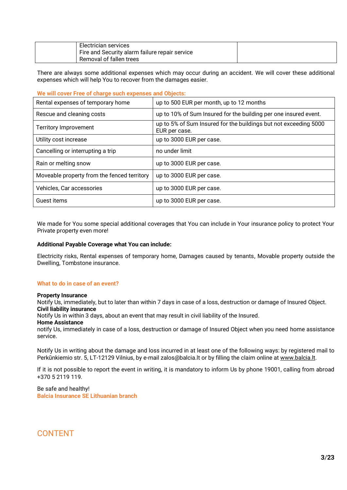| Electrician services                           |  |
|------------------------------------------------|--|
| Fire and Security alarm failure repair service |  |
| Removal of fallen trees                        |  |

There are always some additional expenses which may occur during an accident. We will cover these additional expenses which will help You to recover from the damages easier.

### **We will cover Free of charge such expenses and Objects:**

| Rental expenses of temporary home           | up to 500 EUR per month, up to 12 months                                          |
|---------------------------------------------|-----------------------------------------------------------------------------------|
| Rescue and cleaning costs                   | up to 10% of Sum Insured for the building per one insured event.                  |
| <b>Territory Improvement</b>                | up to 5% of Sum Insured for the buildings but not exceeding 5000<br>EUR per case. |
| Utility cost increase                       | up to 3000 EUR per case.                                                          |
| Cancelling or interrupting a trip           | no under limit                                                                    |
| Rain or melting snow                        | up to 3000 EUR per case.                                                          |
| Moveable property from the fenced territory | up to 3000 EUR per case.                                                          |
| Vehicles, Car accessories                   | up to 3000 EUR per case.                                                          |
| Guest items                                 | up to 3000 EUR per case.                                                          |

We made for You some special additional coverages that You can include in Your insurance policy to protect Your Private property even more!

#### **Additional Payable Coverage what You can include:**

Electricity risks, Rental expenses of temporary home, Damages caused by tenants, Movable property outside the Dwelling, Tombstone insurance.

#### **What to do in case of an event?**

#### **Property Insurance**

Notify Us, immediately, but to later than within 7 days in case of a loss, destruction or damage of Insured Object. **Civil liability insurance** 

Notify Us in within 3 days, about an event that may result in civil liability of the Insured.

#### **Home Assistance**

notify Us, immediately in case of a loss, destruction or damage of Insured Object when you need home assistance service.

Notify Us in writing about the damage and loss incurred in at least one of the following ways: by registered mail to Perkūnkiemio str. 5, LT-12129 Vilnius, by e-mail zalos@balcia.lt or by filling the claim online at [www.balcia.lt.](http://www.balcia.lt/)

If it is not possible to report the event in writing, it is mandatory to inform Us by phone 19001, calling from abroad +370 5 2119 119.

## Be safe and healthy! **Balcia Insurance SE Lithuanian branch**

# CONTENT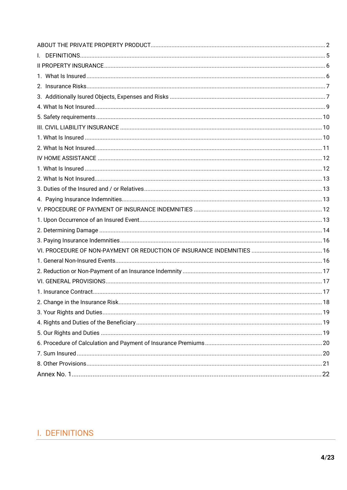# <span id="page-3-0"></span>I. DEFINITIONS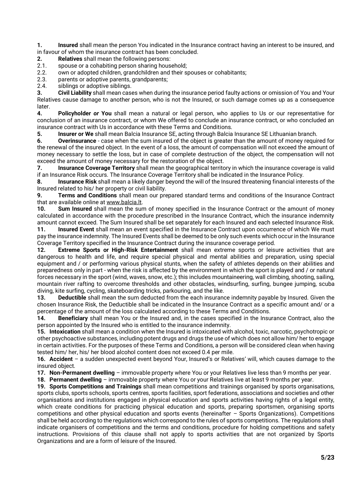**1. Insured** shall mean the person You indicated in the Insurance contract having an interest to be insured, and in favour of whom the insurance contract has been concluded.

- **2. Relatives** shall mean the following persons:
- 2.1. spouse or a cohabiting person sharing household;
- 2.2. own or adopted children, grandchildren and their spouses or cohabitants;
- 2.3. parents or adoptive parents, grandparents;<br>2.4. siblings or adoptive siblings.
- siblings or adoptive siblings.

**3. Civil Liability** shall mean cases when during the insurance period faulty actions or omission of You and Your Relatives cause damage to another person, who is not the Insured, or such damage comes up as a consequence later.

**4. Policyholder** *or* **You** shall mean a natural or legal person, who applies to Us or our representative for conclusion of an insurance contract, or whom We offered to conclude an insurance contract, or who concluded an insurance contract with Us in accordance with these Terms and Conditions.

**5. Insurer or We** shall mean Balcia Insurance SE, acting through Balcia Insurance SE Lithuanian branch.

**6. Overinsurance** - case when the sum insured of the object is greater than the amount of money required for the renewal of the insured object. In the event of a loss, the amount of compensation will not exceed the amount of money necessary to settle the loss, but in case of complete destruction of the object, the compensation will not exceed the amount of money necessary for the restoration of the object.

**7. Insurance Coverage Territory** shall mean the geographical territory in which the insurance coverage is valid if an Insurance Risk occurs. The Insurance Coverage Territory shall be indicated in the Insurance Policy.

**8. Insurance Risk** shall mean a likely danger beyond the will of the Insured threatening financial interests of the Insured related to his/ her property or civil liability.

**9. Terms and Conditions** shall mean our prepared standard terms and conditions of the Insurance Contract that are available online at [www.balcia.lt.](http://www.balcia.lt/)

**10. Sum Insured** shall mean the sum of money specified in the Insurance Contract or the amount of money calculated in accordance with the procedure prescribed in the Insurance Contract, which the insurance indemnity amount cannot exceed. The Sum Insured shall be set separately for each Insured and each selected Insurance Risk.

**11. Insured Event** shall mean an event specified in the Insurance Contract upon occurrence of which We must pay the insurance indemnity. The Insured Events shall be deemed to be only such events which occur in the Insurance Coverage Territory specified in the Insurance Contract during the insurance coverage period.

**12. Extreme Sports or High-Risk Entertainment** shall mean extreme sports or leisure activities that are dangerous to health and life, and require special physical and mental abilities and preparation, using special equipment and / or performing various physical stunts, when the safety of athletes depends on their abilities and preparedness only in part - when the risk is affected by the environment in which the sport is played and / or natural forces necessary in the sport (wind, waves, snow, etc.); this includes mountaineering, wall climbing, shooting, sailing, mountain river rafting to overcome thresholds and other obstacles, windsurfing, surfing, bungee jumping, scuba diving, kite surfing, cycling, skateboarding tricks, parkouring, and the like.

**13. Deductible** shall mean the sum deducted from the each insurance indemnity payable by Insured. Given the chosen Insurance Risk, the Deductible shall be indicated in the Insurance Contract as a specific amount and/ or a percentage of the amount of the loss calculated according to these Terms and Conditions.

**14. Beneficiary** shall mean You or the Insured and, in the cases specified in the Insurance Contract, also the person appointed by the Insured who is entitled to the insurance indemnity.

**15. Intoxication** shall mean a condition when the Insured is intoxicated with alcohol, toxic, narcotic, psychotropic or other psychoactive substances, including potent drugs and drugs the use of which does not allow him/ her to engage in certain activities. For the purposes of these Terms and Conditions, a person will be considered clean when having tested him/ her, his/ her blood alcohol content does not exceed 0.4 per mile.

**16. Accident** – a sudden unexpected event beyond Your, Insured's or Relatives' will, which causes damage to the insured object.

**17. Non-Permanent dwelling** – immovable property where You or your Relatives live less than 9 months per year.

**18. Permanent dwelling** – immovable property where You or your Relatives live at least 9 months per year.

**19. Sports Competitions and Trainings** shall mean competitions and trainings organised by sports organisations, sports clubs, sports schools, sports centres, sports facilities, sport federations, associations and societies and other organisations and institutions engaged in physical education and sports activities having rights of a legal entity, which create conditions for practicing physical education and sports, preparing sportsmen, organising sports competitions and other physical education and sports events (hereinafter – Sports Organizations). Competitions shall be held according to the regulations which correspond to the rules of sports competitions. The regulations shall indicate organisers of competitions and the terms and conditions, procedure for holding competitions and safety instructions. Provisions of this clause shall not apply to sports activities that are not organized by Sports Organizations and are a form of leisure of the Insured.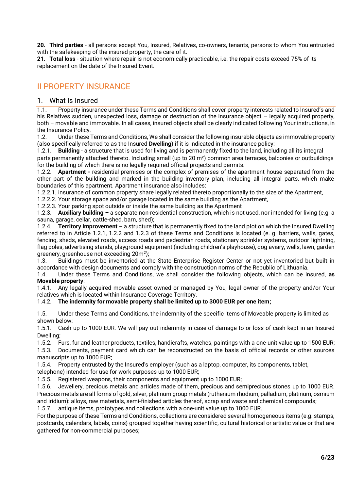**20. Third parties** - all persons except You, Insured, Relatives, co-owners, tenants, persons to whom You entrusted with the safekeeping of the insured property, the care of it.

**21. Total loss** - situation where repair is not economically practicable, i.e. the repair costs exceed 75% of its replacement on the date of the Insured Event.

# <span id="page-5-0"></span>II PROPERTY INSURANCE

## <span id="page-5-1"></span>1. What Is Insured

1.1. Property insurance under these Terms and Conditions shall cover property interests related to Insured's and his Relatives sudden, unexpected loss, damage or destruction of the insurance object – legally acquired property, both – movable and immovable. In all cases, insured objects shall be clearly indicated following Your instructions, in the Insurance Policy.

1.2. Under these Terms and Conditions, We shall consider the following insurable objects as immovable property (also specifically referred to as the Insured **Dwelling**) if it is indicated in the insurance policy:

1.2.1. **Building** - a structure that is used for living and is permanently fixed to the land, including all its integral parts permanently attached thereto. Including small (up to 20 m²) common area terraces, balconies or outbuildings for the building of which there is no legally required official projects and permits.

1.2.2. **Apartment -** residential premises or the complex of premises of the apartment house separated from the other part of the building and marked in the building inventory plan, including all integral parts, which make boundaries of this apartment. Apartment insurance also includes:

1.2.2.1. insurance of common property share legally related thereto proportionally to the size of the Apartment,

1.2.2.2. Your storage space and/or garage located in the same building as the Apartment,

1.2.2.3. Your parking spot outside or inside the same building as the Apartment

1.2.3. **Auxiliary building –** a separate non-residential construction, which is not used, nor intended for living (e.g. a sauna, garage, cellar, cattle-shed, barn, shed);

1.2.4. **Territory Improvement –** a structure that is permanently fixed to the land plot on which the Insured Dwelling referred to in Article 1.2.1, 1.2.2 and 1.2.3 of these Terms and Conditions is located (e. g. barriers, walls, gates, fencing, sheds, elevated roads, access roads and pedestrian roads, stationary sprinkler systems, outdoor lightning, flag poles, advertising stands, playground equipment (including children's playhouse), dog aviary, wells, lawn, garden greenery, greenhouse not exceeding 20m<sup>2</sup>);

1.3. Buildings must be inventoried at the State Enterprise Register Center or not yet inventoried but built in accordance with design documents and comply with the construction norms of the Republic of Lithuania.

1.4. Under these Terms and Conditions, we shall consider the following objects, which can be insured, **as Movable property**:

1.4.1. Any legally acquired movable asset owned or managed by You, legal owner of the property and/or Your relatives which is located within Insurance Coverage Territory.

## 1.4.2. **The indemnity for movable property shall be limited up to 3000 EUR per one item;**

1.5. Under these Terms and Conditions, the indemnity of the specific items of Moveable property is limited as shown below:

1.5.1. Cash up to 1000 EUR. We will pay out indemnity in case of damage to or loss of cash kept in an Insured Dwelling;

1.5.2. Furs, fur and leather products, textiles, handicrafts, watches, paintings with a one-unit value up to 1500 EUR;

1.5.3. Documents, payment card which can be reconstructed on the basis of official records or other sources manuscripts up to 1000 EUR;

1.5.4. Property entrusted by the Insured's employer (such as a laptop, computer, its components, tablet,

telephone) intended for use for work purposes up to 1000 EUR;

1.5.5. Registered weapons, their components and equipment up to 1000 EUR;

1.5.6. Jewellery, precious metals and articles made of them, precious and semiprecious stones up to 1000 EUR. Precious metals are all forms of gold, silver, platinum group metals (ruthenium rhodium, palladium, platinum, osmium and iridium): alloys, raw materials, semi-finished articles thereof, scrap and waste and chemical compounds;

1.5.7. antique items, prototypes and collections with a one-unit value up to 1000 EUR.

For the purpose of these Terms and Conditions, collections are considered several homogeneous items (e.g. stamps, postcards, calendars, labels, coins) grouped together having scientific, cultural historical or artistic value or that are gathered for non-commercial purposes;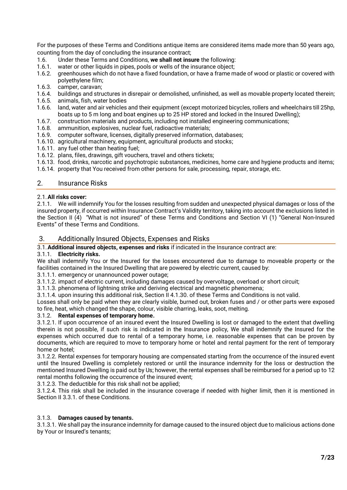For the purposes of these Terms and Conditions antique items are considered items made more than 50 years ago, counting from the day of concluding the insurance contract;

- 1.6. Under these Terms and Conditions, **we shall not insure** the following:
- 1.6.1. water or other liquids in pipes, pools or wells of the insurance object;<br>1.6.2. greenhouses which do not have a fixed foundation, or have a frame m
- greenhouses which do not have a fixed foundation, or have a frame made of wood or plastic or covered with polyethylene film;
- 1.6.3. camper, caravan;
- 1.6.4. buildings and structures in disrepair or demolished, unfinished, as well as movable property located therein;
- 1.6.5. animals, fish, water bodies
- 1.6.6. land, water and air vehicles and their equipment (except motorized bicycles, rollers and wheelchairs till 25hp, boats up to 5 m long and boat engines up to 25 HP stored and locked in the Insured Dwelling);
- 1.6.7. construction materials and products, including not installed engineering communications;<br>1.6.8. ammunition. explosives. nuclear fuel. radioactive materials;
- ammunition, explosives, nuclear fuel, radioactive materials;
- 1.6.9. computer software, licenses, digitally preserved information, databases;
- 1.6.10. agricultural machinery, equipment, agricultural products and stocks;
- 1.6.11. any fuel other than heating fuel;
- 1.6.12. plans, files, drawings, gift vouchers, travel and others tickets;
- 1.6.13. food, drinks, narcotic and psychotropic substances, medicines, home care and hygiene products and items;
- 1.6.14. property that You received from other persons for sale, processing, repair, storage, etc.

## 2. Insurance Risks

### 2.1.**All risks cover:**

2.1.1. We will indemnify You for the losses resulting from sudden and unexpected physical damages or loss of the insured property, if occurred within Insurance Contract's Validity territory, taking into account the exclusions listed in the Section II (4) "What is not insured" of these Terms and Conditions and Section VI (1) "General Non-Insured Events" of these Terms and Conditions.

## 3. Additionally Insured Objects, Expenses and Risks

3.1.**Additional insured objects, expenses and risks** if indicated in the Insurance contract are:

### 3.1.1. **Electricity risks.**

We shall indemnify You or the Insured for the losses encountered due to damage to moveable property or the facilities contained in the Insured Dwelling that are powered by electric current, caused by:

3.1.1.1. emergency or unannounced power outage;

3.1.1.2. impact of electric current, including damages caused by overvoltage, overload or short circuit;

3.1.1.3. phenomena of lightning strike and deriving electrical and magnetic phenomena;

3.1.1.4. upon insuring this additional risk, Section II 4.1.30. of these Terms and Conditions is not valid.

Losses shall only be paid when they are clearly visible, burned out, broken fuses and / or other parts were exposed to fire, heat, which changed the shape, colour, visible charring, leaks, soot, melting.

## 3.1.2. **Rental expenses of temporary home.**

3.1.2.1. If upon occurrence of an insured event the Insured Dwelling is lost or damaged to the extent that dwelling therein is not possible, if such risk is indicated in the Insurance policy, We shall indemnify the Insured for the expenses which occurred due to rental of a temporary home, i.e. reasonable expenses that can be proven by documents, which are required to move to temporary home or hotel and rental payment for the rent of temporary home or hotel;

3.1.2.2. Rental expenses for temporary housing are compensated starting from the occurrence of the insured event until the Insured Dwelling is completely restored or until the insurance indemnity for the loss or destruction the mentioned Insured Dwelling is paid out by Us; however, the rental expenses shall be reimbursed for a period up to 12 rental months following the occurrence of the insured event;

3.1.2.3. The deductible for this risk shall not be applied;

3.1.2.4. This risk shall be included in the insurance coverage if needed with higher limit, then it is mentioned in Section II 3.3.1. of these Conditions.

### 3.1.3. **Damages caused by tenants.**

3.1.3.1. We shall pay the insurance indemnity for damage caused to the insured object due to malicious actions done by Your or Insured's tenants;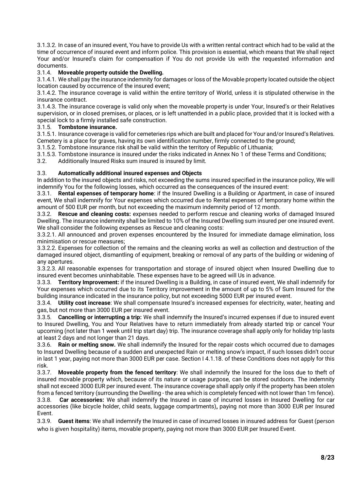3.1.3.2. In case of an insured event, You have to provide Us with a written rental contract which had to be valid at the time of occurrence of insured event and inform police. This provision is essential, which means that We shall reject Your and/or Insured's claim for compensation if You do not provide Us with the requested information and documents.

## 3.1.4. **Moveable property outside the Dwelling.**

3.1.4.1. We shall pay the insurance indemnity for damages or loss of the Movable property located outside the object location caused by occurrence of the insured event;

3.1.4.2. The insurance coverage is valid within the entire territory of World, unless it is stipulated otherwise in the insurance contract.

3.1.4.3. The insurance coverage is valid only when the moveable property is under Your, Insured's or their Relatives supervision, or in closed premises, or places, or is left unattended in a public place, provided that it is locked with a special lock to a firmly installed safe construction.

## 3.1.5. **Tombstone insurance.**

3.1.5.1. Insurance coverage is valid for cemeteries rips which are built and placed for Your and/or Insured's Relatives. Cemetery is a place for graves, having its own identification number, firmly connected to the ground;

3.1.5.2. Tombstone insurance risk shall be valid within the territory of Republic of Lithuania;

3.1.5.3. Tombstone insurance is insured under the risks indicated in Annex No 1 of these Terms and Conditions;

3.2. Additionally Insured Risks sum insured is insured by limit.

## 3.3. **Automatically additional insured expenses and Objects**

In addition to the insured objects and risks, not exceeding the sums insured specified in the insurance policy, We will indemnify You for the following losses, which occurred as the consequences of the insured event:

3.3.1. **Rental expenses of temporary home**: if the Insured Dwelling is a Building or Apartment, in case of insured event, We shall indemnify for Your expenses which occurred due to Rental expenses of temporary home within the amount of 500 EUR per month, but not exceeding the maximum indemnity period of 12 month.

3.3.2. **Rescue and cleaning costs:** expenses needed to perform rescue and cleaning works of damaged Insured Dwelling. The insurance indemnity shall be limited to 10% of the Insured Dwelling sum insured per one insured event. We shall consider the following expenses as Rescue and cleaning costs:

3.3.2.1. All announced and proven expenses encountered by the Insured for immediate damage elimination, loss minimisation or rescue measures;

3.3.2.2. Expenses for collection of the remains and the cleaning works as well as collection and destruction of the damaged insured object, dismantling of equipment, breaking or removal of any parts of the building or widening of any apertures.

3.3.2.3. All reasonable expenses for transportation and storage of insured object when Insured Dwelling due to insured event becomes uninhabitable. These expenses have to be agreed will Us in advance.

3.3.3. **Territory Improvement:** if the insured Dwelling is a Building, in case of insured event, We shall indemnify for Your expenses which occurred due to its Territory improvement in the amount of up to 5% of Sum Insured for the building insurance indicated in the insurance policy, but not exceeding 5000 EUR per insured event.

3.3.4. **Utility cost increase**: We shall compensate Insured's increased expenses for electricity, water, heating and gas, but not more than 3000 EUR per insured event.

3.3.5. **Cancelling or interrupting a trip:** We shall indemnify the Insured's incurred expenses if due to insured event to Insured Dwelling, You and Your Relatives have to return immediately from already started trip or cancel Your upcoming (not later than 1 week until trip start day) trip. The insurance coverage shall apply only for holiday trip lasts at least 2 days and not longer than 21 days.

3.3.6. **Rain or melting snow.** We shall indemnify the Insured for the repair costs which occurred due to damages to Insured Dwelling because of a sudden and unexpected Rain or melting snow's impact, if such losses didn't occur in last 1 year, paying not more than 3000 EUR per case. Section I 4.1.18. of these Conditions does not apply for this risk.

3.3.7. **Moveable property from the fenced territory**: We shall indemnify the Insured for the loss due to theft of insured movable property which, because of its nature or usage purpose, can be stored outdoors. The indemnity shall not exceed 3000 EUR per insured event. The insurance coverage shall apply only if the property has been stolen from a fenced territory (surrounding the Dwelling - the area which is completely fenced with not lower than 1m fence). 3.3.8. **Car accessories:** We shall indemnify the Insured in case of incurred losses in Insured Dwelling for car accessories (like bicycle holder, child seats, luggage compartments)**,** paying not more than 3000 EUR per Insured Event.

3.3.9. **Guest items**: We shall indemnify the Insured in case of incurred losses in insured address for Guest (person who is given hospitality) items, movable property, paying not more than 3000 EUR per Insured Event.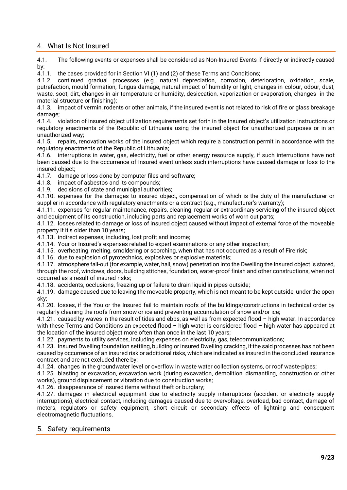## <span id="page-8-0"></span>4. What Is Not Insured

4.1. The following events or expenses shall be considered as Non-Insured Events if directly or indirectly caused by:

4.1.1. the cases provided for in Section VI (1) and (2) of these Terms and Conditions;

4.1.2. continued gradual processes (e.g. natural depreciation, corrosion, deterioration, oxidation, scale, putrefaction, mould formation, fungus damage, natural impact of humidity or light, changes in colour, odour, dust, waste, soot, dirt, changes in air temperature or humidity, desiccation, vaporization or evaporation, changes in the material structure or finishing);

4.1.3. impact of vermin, rodents or other animals, if the insured event is not related to risk of fire or glass breakage damage;

4.1.4. violation of insured object utilization requirements set forth in the Insured object's utilization instructions or regulatory enactments of the Republic of Lithuania using the insured object for unauthorized purposes or in an unauthorized way;

4.1.5. repairs, renovation works of the insured object which require a construction permit in accordance with the regulatory enactments of the Republic of Lithuania;

4.1.6. interruptions in water, gas, electricity, fuel or other energy resource supply, if such interruptions have not been caused due to the occurrence of Insured event unless such interruptions have caused damage or loss to the insured object;

4.1.7. damage or loss done by computer files and software;

4.1.8. impact of asbestos and its compounds;

4.1.9. decisions of state and municipal authorities;

4.1.10. expenses for the damages to insured object, compensation of which is the duty of the manufacturer or supplier in accordance with regulatory enactments or a contract (e.g., manufacturer's warranty);

4.1.11. expenses for regular maintenance, repairs, cleaning, regular or extraordinary servicing of the insured object and equipment of its construction, including parts and replacement works of worn out parts;

4.1.12. losses related to damage or loss of insured object caused without impact of external force of the moveable property if it's older than 10 years;

4.1.13. indirect expenses, including, lost profit and income;

4.1.14. Your or Insured's expenses related to expert examinations or any other inspection;

4.1.15. overheating, melting, smoldering or scorching, when that has not occurred as a result of Fire risk;

4.1.16. due to explosion of pyrotechnics, explosives or explosive materials;

4.1.17. atmosphere fall-out (for example, water, hail, snow) penetration into the Dwelling the Insured object is stored, through the roof, windows, doors, building stitches, foundation, water-proof finish and other constructions, when not occurred as a result of insured risks;

4.1.18. accidents, occlusions, freezing up or failure to drain liquid in pipes outside;

4.1.19. damage caused due to leaving the moveable property, which is not meant to be kept outside, under the open sky;

4.1.20. losses, if the You or the Insured fail to maintain roofs of the buildings/constructions in technical order by regularly cleaning the roofs from snow or ice and preventing accumulation of snow and/or ice;

4.1.21. caused by waves in the result of tides and ebbs, as well as from expected flood – high water. In accordance with these Terms and Conditions an expected flood – high water is considered flood – high water has appeared at the location of the insured object more often than once in the last 10 years;

4.1.22. payments to utility services, including expenses on electricity, gas, telecommunications;

4.1.23. insured Dwelling foundation settling, building or insured Dwelling cracking, if the said processes has not been caused by occurrence of an insured risk or additional risks, which are indicated as insured in the concluded insurance contract and are not excluded there by;

4.1.24. changes in the groundwater level or overflow in waste water collection systems, or roof waste-pipes;

4.1.25. blasting or excavation, excavation work (during excavation, demolition, dismantling, construction or other works), ground displacement or vibration due to construction works;

4.1.26. disappearance of insured items without theft or burglary;

4.1.27. damages in electrical equipment due to electricity supply interruptions (accident or electricity supply interruptions), electrical contact, including damages caused due to overvoltage, overload, bad contact, damage of meters, regulators or safety equipment, short circuit or secondary effects of lightning and consequent electromagnetic fluctuations.

## <span id="page-8-1"></span>5. Safety requirements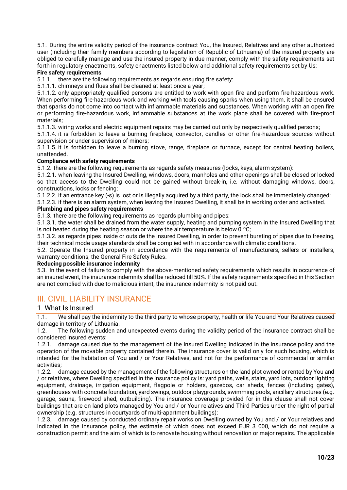5.1. During the entire validity period of the insurance contract You, the Insured, Relatives and any other authorized user (including their family members according to legislation of Republic of Lithuania) of the insured property are obliged to carefully manage and use the insured property in due manner, comply with the safety requirements set forth in regulatory enactments, safety enactments listed below and additional safety requirements set by Us:

## **Fire safety requirements**

5.1.1. there are the following requirements as regards ensuring fire safety:

5.1.1.1. chimneys and flues shall be cleaned at least once a year;

5.1.1.2. only appropriately qualified persons are entitled to work with open fire and perform fire-hazardous work. When performing fire-hazardous work and working with tools causing sparks when using them, it shall be ensured that sparks do not come into contact with inflammable materials and substances. When working with an open fire or performing fire-hazardous work, inflammable substances at the work place shall be covered with fire-proof materials;

5.1.1.3. wiring works and electric equipment repairs may be carried out only by respectively qualified persons;

5.1.1.4. it is forbidden to leave a burning fireplace, convector, candles or other fire-hazardous sources without supervision or under supervision of minors;

5.1.1.5. it is forbidden to leave a burning stove, range, fireplace or furnace, except for central heating boilers, unattended.

### **Compliance with safety requirements**

5.1.2. there are the following requirements as regards safety measures (locks, keys, alarm system):

5.1.2.1. when leaving the Insured Dwelling, windows, doors, manholes and other openings shall be closed or locked so that access to the Dwelling could not be gained without break-in, i.e. without damaging windows, doors, constructions, locks or fencing;

5.1.2.2. if an entrance key (-s) is lost or is illegally acquired by a third party, the lock shall be immediately changed; 5.1.2.3. if there is an alarm system, when leaving the Insured Dwelling, it shall be in working order and activated.

## **Plumbing and pipes safety requirements**

5.1.3. there are the following requirements as regards plumbing and pipes:

5.1.3.1. the water shall be drained from the water supply, heating and pumping system in the Insured Dwelling that is not heated during the heating season or where the air temperature is below  $0^{\circ}$ C;

5.1.3.2. as regards pipes inside or outside the Insured Dwelling, in order to prevent bursting of pipes due to freezing, their technical mode usage standards shall be complied with in accordance with climatic conditions.

5.2. Operate the Insured property in accordance with the requirements of manufacturers, sellers or installers, warranty conditions, the General Fire Safety Rules.

### **Reducing possible insurance indemnity**

5.3. In the event of failure to comply with the above-mentioned safety requirements which results in occurrence of an insured event, the insurance indemnity shall be reduced till 50%. If the safety requirements specified in this Section are not complied with due to malicious intent, the insurance indemnity is not paid out.

# <span id="page-9-0"></span>III. CIVIL LIABILITY INSURANCE

## <span id="page-9-1"></span>1. What Is Insured

1.1. We shall pay the indemnity to the third party to whose property, health or life You and Your Relatives caused damage in territory of Lithuania.

1.2. The following sudden and unexpected events during the validity period of the insurance contract shall be considered insured events:

1.2.1. damage caused due to the management of the Insured Dwelling indicated in the insurance policy and the operation of the movable property contained therein. The insurance cover is valid only for such housing, which is intended for the habitation of You and / or Your Relatives, and not for the performance of commercial or similar activities;

1.2.2. damage caused by the management of the following structures on the land plot owned or rented by You and / or relatives, where Dwelling specified in the insurance policy is: yard paths, wells, stairs, yard lots, outdoor lighting equipment, drainage, irrigation equipment, flagpole or holders, gazebos, car sheds, fences (including gates), greenhouses with concrete foundation, yard swings, outdoor playgrounds, swimming pools, ancillary structures (e.g. garage, sauna, firewood shed, outbuilding). The insurance coverage provided for in this clause shall not cover buildings that are on land plots managed by You and / or Your relatives and Third Parties under the right of partial ownership (e.g. structures in courtyards of multi-apartment buildings);

1.2.3. damage caused by conducted ordinary repair works on Dwelling owned by You and / or Your relatives and indicated in the insurance policy, the estimate of which does not exceed EUR 3 000, which do not require a construction permit and the aim of which is to renovate housing without renovation or major repairs. The applicable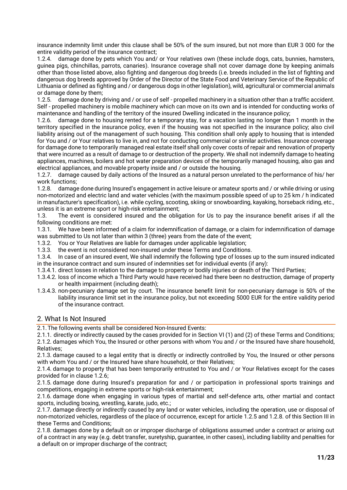insurance indemnity limit under this clause shall be 50% of the sum insured, but not more than EUR 3 000 for the entire validity period of the insurance contract;

1.2.4. damage done by pets which You and/ or Your relatives own (these include dogs, cats, bunnies, hamsters, guinea pigs, chinchillas, parrots, canaries). Insurance coverage shall not cover damage done by keeping animals other than those listed above, also fighting and dangerous dog breeds (i.e. breeds included in the list of fighting and dangerous dog breeds approved by Order of the Director of the State Food and Veterinary Service of the Republic of Lithuania or defined as fighting and / or dangerous dogs in other legislation), wild, agricultural or commercial animals or damage done by them;

1.2.5. damage done by driving and / or use of self - propelled machinery in a situation other than a traffic accident. Self - propelled machinery is mobile machinery which can move on its own and is intended for conducting works of maintenance and handling of the territory of the insured Dwelling indicated in the insurance policy;

1.2.6. damage done to housing rented for a temporary stay, for a vacation lasting no longer than 1 month in the territory specified in the insurance policy, even if the housing was not specified in the insurance policy; also civil liability arising out of the management of such housing. This condition shall only apply to housing that is intended for You and / or Your relatives to live in, and not for conducting commercial or similar activities. Insurance coverage for damage done to temporarily managed real estate itself shall only cover costs of repair and renovation of property that were incurred as a result of damage to or destruction of the property. We shall not indemnify damage to heating appliances, machines, boilers and hot water preparation devices of the temporarily managed housing, also gas and electrical appliances, and movable property inside and / or outside the housing.

1.2.7. damage caused by daily actions of the Insured as a natural person unrelated to the performance of his/ her work functions;

1.2.8. damage done during Insured's engagement in active leisure or amateur sports and / or while driving or using non-motorized and electric land and water vehicles (with the maximum possible speed of up to 25 km / h indicated in manufacturer's specification), i.e. while cycling, scooting, skiing or snowboarding, kayaking, horseback riding, etc., unless it is an extreme sport or high-risk entertainment;

1.3. The event is considered insured and the obligation for Us to pay the insurance benefit arises if all the following conditions are met:

1.3.1. We have been informed of a claim for indemnification of damage, or a claim for indemnification of damage was submitted to Us not later than within 3 (three) years from the date of the event;

1.3.2. You or Your Relatives are liable for damages under applicable legislation;

1.3.3. the event is not considered non-insured under these Terms and Conditions.

1.3.4. In case of an insured event, We shall indemnify the following type of losses up to the sum insured indicated in the insurance contract and sum insured of indemnities set for individual events (if any):

1.3.4.1. direct losses in relation to the damage to property or bodily injuries or death of the Third Parties;

- 1.3.4.2. loss of income which a Third Party would have received had there been no destruction, damage of property or health impairment (including death);
- 1.3.4.3. non-pecuniary damage set by court. The insurance benefit limit for non-pecuniary damage is 50% of the liability insurance limit set in the insurance policy, but not exceeding 5000 EUR for the entire validity period of the insurance contract.

## <span id="page-10-0"></span>2. What Is Not Insured

2.1.The following events shall be considered Non-Insured Events:

2.1.1. directly or indirectly caused by the cases provided for in Section VI (1) and (2) of these Terms and Conditions;

2.1.2. damages which You, the Insured or other persons with whom You and / or the Insured have share household, Relatives;

2.1.3. damage caused to a legal entity that is directly or indirectly controlled by You, the Insured or other persons with whom You and / or the Insured have share household, or their Relatives;

2.1.4. damage to property that has been temporarily entrusted to You and / or Your Relatives except for the cases provided for in clause 1.2.6;

2.1.5. damage done during Insured's preparation for and / or participation in professional sports trainings and competitions, engaging in extreme sports or high-risk entertainment;

2.1.6. damage done when engaging in various types of martial and self-defence arts, other martial and contact sports, including boxing, wrestling, karate, judo, etc.;

2.1.7. damage directly or indirectly caused by any land or water vehicles, including the operation, use or disposal of non-motorized vehicles, regardless of the place of occurrence, except for article 1.2.5 and 1.2.8. of this Section III in these Terms and Conditions;

2.1.8. damages done by a default on or improper discharge of obligations assumed under a contract or arising out of a contract in any way (e.g. debt transfer, suretyship, guarantee, in other cases), including liability and penalties for a default on or improper discharge of the contract: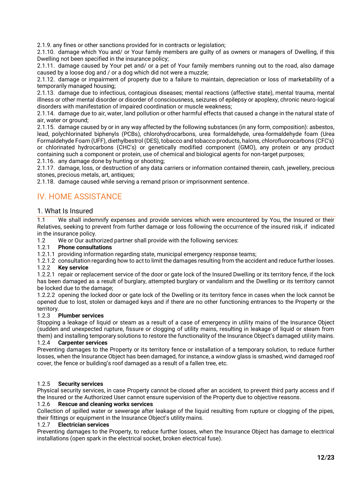2.1.9. any fines or other sanctions provided for in contracts or legislation;

2.1.10. damage which You and/ or Your family members are guilty of as owners or managers of Dwelling, if this Dwelling not been specified in the insurance policy;

2.1.11. damage caused by Your pet and/ or a pet of Your family members running out to the road, also damage caused by a loose dog and / or a dog which did not were a muzzle;

2.1.12. damage or impairment of property due to a failure to maintain, depreciation or loss of marketability of a temporarily managed housing;

2.1.13. damage due to infectious, contagious diseases; mental reactions (affective state), mental trauma, mental illness or other mental disorder or disorder of consciousness, seizures of epilepsy or apoplexy, chronic neuro-logical disorders with manifestation of impaired coordination or muscle weakness;

2.1.14. damage due to air, water, land pollution or other harmful effects that caused a change in the natural state of air, water or ground;

2.1.15. damage caused by or in any way affected by the following substances (in any form, composition): asbestos, lead, polychlorinated biphenyls (PCBs), chlorohydrocarbons, urea formaldehyde, urea-formaldehyde foam (Urea Formaldehyde Foam (UFF), diethylbestrol (DES), tobacco and tobacco products, halons, chlorofluorocarbons (CFC's) or chlorinated hydrocarbons (CHC's) or genetically modified component (GMO), any protein or any product containing such a component or protein, use of chemical and biological agents for non-target purposes; 2.1.16. any damage done by hunting or shooting;

2.1.17. damage, loss, or destruction of any data carriers or information contained therein, cash, jewellery, precious stones, precious metals, art, antiques;

2.1.18. damage caused while serving a remand prison or imprisonment sentence.

# <span id="page-11-0"></span>IV. HOME ASSISTANCE

## 1. What Is Insured

1.1 We shall indemnify expenses and provide services which were encountered by You, the Insured or their Relatives, seeking to prevent from further damage or loss following the occurrence of the insured risk, if indicated in the insurance policy.

1.2 We or Our authorized partner shall provide with the following services:

### 1.2.1 **Phone consultations**

1.2.1.1 providing information regarding state, municipal emergency response teams;

1.2.1.2 consultation regarding how to act to limit the damages resulting from the accident and reduce further losses. 1.2.2 **Key service** 

1.2.2.1 repair or replacement service of the door or gate lock of the Insured Dwelling or its territory fence, if the lock has been damaged as a result of burglary, attempted burglary or vandalism and the Dwelling or its territory cannot be locked due to the damage;

1.2.2.2 opening the locked door or gate lock of the Dwelling or its territory fence in cases when the lock cannot be opened due to lost, stolen or damaged keys and if there are no other functioning entrances to the Property or the territory.

### 1.2.3 **Plumber services**

Stopping a leakage of liquid or steam as a result of a case of emergency in utility mains of the Insurance Object (sudden and unexpected rupture, fissure or clogging of utility mains, resulting in leakage of liquid or steam from them) and installing temporary solutions to restore the functionality of the Insurance Object's damaged utility mains.

### 1.2.4 **Carpenter services**

Preventing damages to the Property or its territory fence or installation of a temporary solution, to reduce further losses, when the Insurance Object has been damaged, for instance, a window glass is smashed, wind damaged roof cover, the fence or building's roof damaged as a result of a fallen tree, etc.

### 1.2.5 **Security services**

Physical security services, in case Property cannot be closed after an accident, to prevent third party access and if the Insured or the Authorized User cannot ensure supervision of the Property due to objective reasons.

### 1.2.6 **Rescue and cleaning works services**

Collection of spilled water or sewerage after leakage of the liquid resulting from rupture or clogging of the pipes, their fittings or equipment in the Insurance Object's utility mains.

#### 1.2.7 **Electrician services**

Preventing damages to the Property, to reduce further losses, when the Insurance Object has damage to electrical installations (open spark in the electrical socket, broken electrical fuse).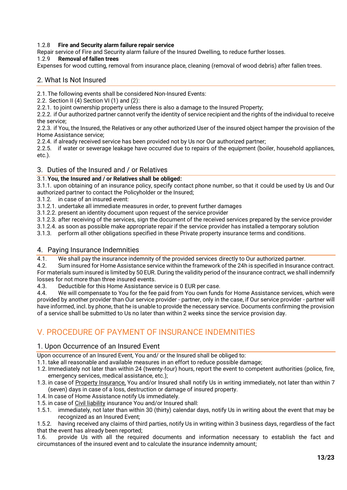## 1.2.8 **Fire and Security alarm failure repair service**

Repair service of Fire and Security alarm failure of the Insured Dwelling, to reduce further losses.

## 1.2.9 **Removal of fallen trees**

Expenses for wood cutting, removal from insurance place, cleaning (removal of wood debris) after fallen trees.

## 2. What Is Not Insured

2.1.The following events shall be considered Non-Insured Events:

2.2. Section II (4) Section VI (1) and (2):

2.2.1. to joint ownership property unless there is also a damage to the Insured Property;

2.2.2. if Our authorized partner cannot verify the identity of service recipient and the rights of the individual to receive the service;

2.2.3. if You, the Insured, the Relatives or any other authorized User of the insured object hamper the provision of the Home Assistance service;

2.2.4. if already received service has been provided not by Us nor Our authorized partner;

2.2.5. if water or sewerage leakage have occurred due to repairs of the equipment (boiler, household appliances, etc.).

## 3. Duties of the Insured and / or Relatives

## 3.1.**You, the Insured and / or Relatives shall be obliged:**

3.1.1. upon obtaining of an insurance policy, specify contact phone number, so that it could be used by Us and Our authorized partner to contact the Policyholder or the Insured;

3.1.2. in case of an insured event:

3.1.2.1. undertake all immediate measures in order, to prevent further damages

3.1.2.2. present an identity document upon request of the service provider

3.1.2.3. after receiving of the services, sign the document of the received services prepared by the service provider

3.1.2.4. as soon as possible make appropriate repair if the service provider has installed a temporary solution

3.1.3. perform all other obligations specified in these Private property insurance terms and conditions.

## 4. Paying Insurance Indemnities

4.1. We shall pay the insurance indemnity of the provided services directly to Our authorized partner.<br>4.2. Sum insured for Home Assistance service within the framework of the 24h is specified in Insurance

Sum insured for Home Assistance service within the framework of the 24h is specified in Insurance contract. For materials sum insured is limited by 50 EUR. During the validity period of the insurance contract, we shall indemnify losses for not more than three insured events.

4.3. Deductible for this Home Assistance service is 0 EUR per case.

4.4. We will compensate to You for the fee paid from You own funds for Home Assistance services, which were provided by another provider than Our service provider - partner, only in the case, if Our service provider - partner will have informed, incl. by phone, that he is unable to provide the necessary service. Documents confirming the provision of a service shall be submitted to Us no later than within 2 weeks since the service provision day.

# V. PROCEDURE OF PAYMENT OF INSURANCE INDEMNITIES

## <span id="page-12-0"></span>1. Upon Occurrence of an Insured Event

Upon occurrence of an Insured Event, You and/ or the Insured shall be obliged to:

1.1. take all reasonable and available measures in an effort to reduce possible damage;

- 1.2. Immediately not later than within 24 (twenty-four) hours, report the event to competent authorities (police, fire, emergency services, medical assistance, etc.);
- 1.3. in case of Property Insurance. You and/or Insured shall notify Us in writing immediately, not later than within 7 (seven) days in case of a loss, destruction or damage of insured property.
- 1.4. In case of Home Assistance notify Us immediately.
- 1.5. in case of Civil liability insurance You and/or Insured shall:
- 1.5.1. immediately, not later than within 30 (thirty) calendar days, notify Us in writing about the event that may be recognized as an Insured Event;

1.5.2. having received any claims of third parties, notify Us in writing within 3 business days, regardless of the fact that the event has already been reported;

1.6. provide Us with all the required documents and information necessary to establish the fact and circumstances of the insured event and to calculate the insurance indemnity amount;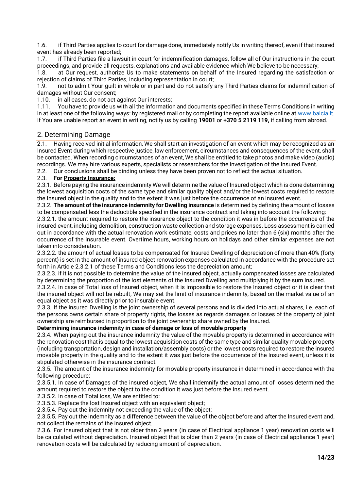1.6. if Third Parties applies to court for damage done, immediately notify Us in writing thereof, even if that insured event has already been reported;

1.7. if Third Parties file a lawsuit in court for indemnification damages, follow all of Our instructions in the court proceedings, and provide all requests, explanations and available evidence which We believe to be necessary;

1.8. at Our request, authorize Us to make statements on behalf of the Insured regarding the satisfaction or rejection of claims of Third Parties, including representation in court;

1.9. not to admit Your guilt in whole or in part and do not satisfy any Third Parties claims for indemnification of damages without Our consent;

1.10. in all cases, do not act against Our interests;

1.11. You have to provide us with all the information and documents specified in these Terms Conditions in writing in at least one of the following ways: by registered mail or by completing the report available online at [www.balcia.lt.](http://www.balcia.lt/) If You are unable report an event in writing, notify us by calling **19001** or **+370 5 2119 119,** if calling from abroad.

## <span id="page-13-0"></span>2. Determining Damage

2.1. Having received initial information, We shall start an investigation of an event which may be recognized as an Insured Event during which respective justice, law enforcement, circumstances and consequences of the event, shall be contacted. When recording circumstances of an event, We shall be entitled to take photos and make video (audio) recordings. We may hire various experts, specialists or researchers for the investigation of the Insured Event.

2.2. Our conclusions shall be binding unless they have been proven not to reflect the actual situation.

## 2.3. **For Property Insurance:**

2.3.1. Before paying the insurance indemnity We will determine the value of Insured object which is done determining the lowest acquisition costs of the same type and similar quality object and/or the lowest costs required to restore the Insured object in the quality and to the extent it was just before the occurrence of an insured event.

2.3.2. **The amount of the insurance indemnity for Dwelling insurance** is determined by defining the amount of losses to be compensated less the deductible specified in the insurance contract and taking into account the following:

2.3.2.1. the amount required to restore the insurance object to the condition it was in before the occurrence of the insured event, including demolition, construction waste collection and storage expenses. Loss assessment is carried out in accordance with the actual renovation work estimate, costs and prices no later than 6 (six) months after the occurrence of the insurable event. Overtime hours, working hours on holidays and other similar expenses are not taken into consideration.

2.3.2.2. the amount of actual losses to be compensated for Insured Dwelling of depreciation of more than 40% (forty percent) is set in the amount of insured object renovation expenses calculated in accordance with the procedure set forth in Article 2.3.2.1 of these Terms and Conditions less the depreciation amount;

2.3.2.3. if it is not possible to determine the value of the insured object, actually compensated losses are calculated by determining the proportion of the lost elements of the Insured Dwelling and multiplying it by the sum insured.

2.3.2.4. In case of Total loss of Insured object, when it is impossible to restore the Insured object or it is clear that the insured object will not be rebuilt, We may set the limit of insurance indemnity, based on the market value of an equal object as it was directly prior to insurable event.

2.3.3. If the insured Dwelling is the joint ownership of several persons and is divided into actual shares, i.e. each of the persons owns certain share of property rights, the losses as regards damages or losses of the property of joint ownership are reimbursed in proportion to the joint ownership share owned by the Insured.

## **Determining insurance indemnity in case of damage or loss of movable property**

2.3.4. When paying out the insurance indemnity the value of the movable property is determined in accordance with the renovation cost that is equal to the lowest acquisition costs of the same type and similar quality movable property (including transportation, design and installation/assembly costs) or the lowest costs required to restore the insured movable property in the quality and to the extent it was just before the occurrence of the Insured event, unless it is stipulated otherwise in the insurance contract.

2.3.5. The amount of the insurance indemnity for movable property insurance in determined in accordance with the following procedure:

2.3.5.1. In case of Damages of the insured object, We shall indemnify the actual amount of losses determined the amount required to restore the object to the condition it was just before the Insured event.

2.3.5.2. In case of Total loss, We are entitled to:

2.3.5.3. Replace the lost Insured object with an equivalent object;

2.3.5.4. Pay out the indemnity not exceeding the value of the object;

2.3.5.5. Pay out the indemnity as a difference between the value of the object before and after the Insured event and, not collect the remains of the insured object.

2.3.6. For insured object that is not older than 2 years (in case of Electrical appliance 1 year) renovation costs will be calculated without depreciation. Insured object that is older than 2 years (in case of Electrical appliance 1 year) renovation costs will be calculated by reducing amount of depreciation.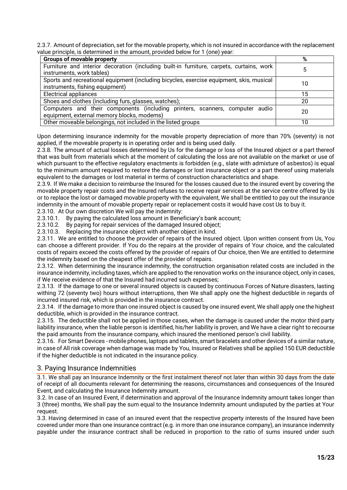2.3.7. Amount of depreciation, set for the movable property, which is not insured in accordance with the replacement value principle, is determined in the amount, provided below for 1 (one) year:

| <b>Groups of movable property</b>                                                                                           | %  |
|-----------------------------------------------------------------------------------------------------------------------------|----|
| Furniture and interior decoration (including built-in furniture, carpets, curtains, work<br>instruments, work tables)       |    |
| Sports and recreational equipment (including bicycles, exercise equipment, skis, musical<br>instruments, fishing equipment) | 10 |
| <b>Electrical appliances</b>                                                                                                | 15 |
| Shoes and clothes (including furs, glasses, watches);                                                                       | 20 |
| Computers and their components (including printers, scanners, computer audio<br>equipment, external memory blocks, modems)  | 20 |
| Other moveable belongings, not included in the listed groups                                                                | 10 |

Upon determining insurance indemnity for the movable property depreciation of more than 70% (seventy) is not applied, if the moveable property is in operating order and is being used daily.

2.3.8. The amount of actual losses determined by Us for the damage or loss of the Insured object or a part thereof that was built from materials which at the moment of calculating the loss are not available on the market or use of which pursuant to the effective regulatory enactments is forbidden (e.g., slate with admixture of asbestos) is equal to the minimum amount required to restore the damages or lost insurance object or a part thereof using materials equivalent to the damages or lost material in terms of construction characteristics and shape.

2.3.9. If We make a decision to reimburse the Insured for the losses caused due to the insured event by covering the movable property repair costs and the Insured refuses to receive repair services at the service centre offered by Us or to replace the lost or damaged movable property with the equivalent, We shall be entitled to pay out the insurance indemnity in the amount of movable property repair or replacement costs it would have cost Us to buy it.

2.3.10. At Our own discretion We will pay the indemnity:

2.3.10.1. By paying the calculated loss amount in Beneficiary's bank account;

2.3.10.2. By paying for repair services of the damaged Insured object;<br>2.3.10.3. Replacing the insurance object with another object in kind.

Replacing the insurance object with another object in kind.

2.3.11. We are entitled to choose the provider of repairs of the Insured object. Upon written consent from Us, You can choose a different provider. If You do the repairs at the provider of repairs of Your choice, and the calculated costs of repairs exceed the costs offered by the provider of repairs of Our choice, then We are entitled to determine the indemnity based on the cheapest offer of the provider of repairs.

2.3.12. When determining the insurance indemnity, the construction organisation related costs are included in the insurance indemnity, including taxes, which are applied to the renovation works on the insurance object, only in cases, if We receive evidence of that the Insured had incurred such expenses;

2.3.13. If the damage to one or several insured objects is caused by continuous Forces of Nature disasters, lasting withing 72 (seventy two) hours without interruptions, then We shall apply one the highest deductible in regards of incurred insured risk, which is provided in the insurance contract.

2.3.14. If the damage to more than one insured object is caused by one insured event, We shall apply one the highest deductible, which is provided in the insurance contract.

2.3.15. The deductible shall not be applied in those cases, when the damage is caused under the motor third party liability insurance, when the liable person is identified, his/her liability is proven, and We have a clear right to recourse the paid amounts from the insurance company, which insured the mentioned person's civil liability.

2.3.16. For Smart Devices - mobile phones, laptops and tablets, smart bracelets and other devices of a similar nature, in case of All risk coverage when damage was made by You, Insured or Relatives shall be applied 150 EUR deductible if the higher deductible is not indicated in the insurance policy.

## <span id="page-14-0"></span>3. Paying Insurance Indemnities

3.1. We shall pay an Insurance Indemnity or the first instalment thereof not later than within 30 days from the date of receipt of all documents relevant for determining the reasons, circumstances and consequences of the Insured Event, and calculating the Insurance Indemnity amount.

3.2. In case of an Insured Event, if determination and approval of the Insurance Indemnity amount takes longer than 3 (three) months, We shall pay the sum equal to the Insurance Indemnity amount undisputed by the parties at Your request.

3.3. Having determined in case of an insured event that the respective property interests of the Insured have been covered under more than one insurance contract (e.g. in more than one insurance company), an insurance indemnity payable under the insurance contract shall be reduced in proportion to the ratio of sums insured under such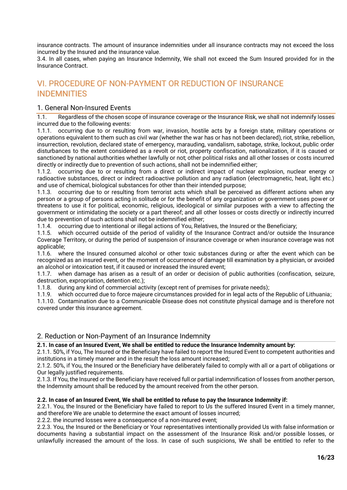insurance contracts. The amount of insurance indemnities under all insurance contracts may not exceed the loss incurred by the Insured and the insurance value.

3.4. In all cases, when paying an Insurance Indemnity, We shall not exceed the Sum Insured provided for in the Insurance Contract.

# <span id="page-15-0"></span>VI. PROCEDURE OF NON-PAYMENT OR REDUCTION OF INSURANCE INDEMNITIES

## <span id="page-15-1"></span>1. General Non-Insured Events

1.1. Regardless of the chosen scope of insurance coverage or the Insurance Risk, we shall not indemnify losses incurred due to the following events:

1.1.1. occurring due to or resulting from war, invasion, hostile acts by a foreign state, military operations or operations equivalent to them such as civil war (whether the war has or has not been declared), riot, strike, rebellion, insurrection, revolution, declared state of emergency, marauding, vandalism, sabotage, strike, lockout, public order disturbances to the extent considered as a revolt or riot, property confiscation, nationalization, if it is caused or sanctioned by national authorities whether lawfully or not; other political risks and all other losses or costs incurred directly or indirectly due to prevention of such actions, shall not be indemnified either;

1.1.2. occurring due to or resulting from a direct or indirect impact of nuclear explosion, nuclear energy or radioactive substances, direct or indirect radioactive pollution and any radiation (electromagnetic, heat, light etc.) and use of chemical, biological substances for other than their intended purpose;

1.1.3. occurring due to or resulting from terrorist acts which shall be perceived as different actions when any person or a group of persons acting in solitude or for the benefit of any organization or government uses power or threatens to use it for political, economic, religious, ideological or similar purposes with a view to affecting the government or intimidating the society or a part thereof; and all other losses or costs directly or indirectly incurred due to prevention of such actions shall not be indemnified either;

1.1.4. occurring due to intentional or illegal actions of You, Relatives, the Insured or the Beneficiary;

1.1.5. which occurred outside of the period of validity of the Insurance Contract and/or outside the Insurance Coverage Territory, or during the period of suspension of insurance coverage or when insurance coverage was not applicable;

1.1.6. where the Insured consumed alcohol or other toxic substances during or after the event which can be recognized as an insured event, or the moment of occurrence of damage till examination by a physician, or avoided an alcohol or intoxication test, if it caused or increased the insured event;

1.1.7. when damage has arisen as a result of an order or decision of public authorities (confiscation, seizure, destruction, expropriation, detention etc.);

1.1.8. during any kind of commercial activity (except rent of premises for private needs);

1.1.9. which occurred due to force majeure circumstances provided for in legal acts of the Republic of Lithuania;

1.1.10. Contamination due to a Communicable Disease does not constitute physical damage and is therefore not covered under this insurance agreement.

## <span id="page-15-2"></span>2. Reduction or Non-Payment of an Insurance Indemnity

### **2.1. In case of an Insured Event, We shall be entitled to reduce the Insurance Indemnity amount by:**

2.1.1. 50%, if You, The Insured or the Beneficiary have failed to report the Insured Event to competent authorities and institutions in a timely manner and in the result the loss amount increased;

2.1.2. 50%, if You, the Insured or the Beneficiary have deliberately failed to comply with all or a part of obligations or Our legally justified requirements.

2.1.3. If You, the Insured or the Beneficiary have received full or partial indemnification of losses from another person, the Indemnity amount shall be reduced by the amount received from the other person.

### **2.2. In case of an Insured Event, We shall be entitled to refuse to pay the Insurance Indemnity if:**

2.2.1. You, the Insured or the Beneficiary have failed to report to Us the suffered Insured Event in a timely manner, and therefore We are unable to determine the exact amount of losses incurred;

2.2.2. the incurred losses were a consequence of a non-insured event;

2.2.3. You, the Insured or the Beneficiary or Your representatives intentionally provided Us with false information or documents having a substantial impact on the assessment of the Insurance Risk and/or possible losses, or unlawfully increased the amount of the loss. In case of such suspicions, We shall be entitled to refer to the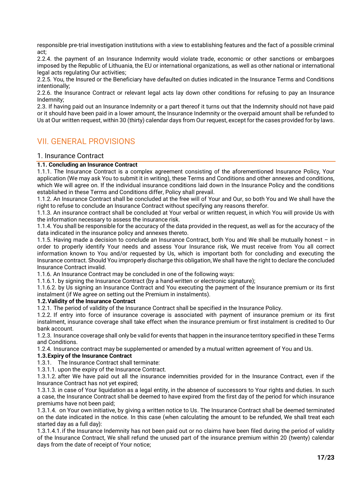responsible pre-trial investigation institutions with a view to establishing features and the fact of a possible criminal act;

2.2.4. the payment of an Insurance Indemnity would violate trade, economic or other sanctions or embargoes imposed by the Republic of Lithuania, the EU or international organizations, as well as other national or international legal acts regulating Our activities;

2.2.5. You, the Insured or the Beneficiary have defaulted on duties indicated in the Insurance Terms and Conditions intentionally;

2.2.6. the Insurance Contract or relevant legal acts lay down other conditions for refusing to pay an Insurance Indemnity;

2.3. If having paid out an Insurance Indemnity or a part thereof it turns out that the Indemnity should not have paid or it should have been paid in a lower amount, the Insurance Indemnity or the overpaid amount shall be refunded to Us at Our written request, within 30 (thirty) calendar days from Our request, except for the cases provided for by laws.

# <span id="page-16-0"></span>VII. GENERAL PROVISIONS

## <span id="page-16-1"></span>1. Insurance Contract

### **1.1. Concluding an Insurance Contract**

1.1.1. The Insurance Contract is a complex agreement consisting of the aforementioned Insurance Policy, Your application (We may ask You to submit it in writing), these Terms and Conditions and other annexes and conditions, which We will agree on. If the individual insurance conditions laid down in the Insurance Policy and the conditions established in these Terms and Conditions differ, Policy shall prevail.

1.1.2. An Insurance Contract shall be concluded at the free will of Your and Our, so both You and We shall have the right to refuse to conclude an Insurance Contract without specifying any reasons therefor.

1.1.3. An insurance contract shall be concluded at Your verbal or written request, in which You will provide Us with the information necessary to assess the insurance risk.

1.1.4. You shall be responsible for the accuracy of the data provided in the request, as well as for the accuracy of the data indicated in the insurance policy and annexes thereto.

1.1.5. Having made a decision to conclude an Insurance Contract, both You and We shall be mutually honest – in order to properly identify Your needs and assess Your Insurance risk, We must receive from You all correct information known to You and/or requested by Us, which is important both for concluding and executing the Insurance contract. Should You improperly discharge this obligation, We shall have the right to declare the concluded Insurance Contract invalid.

1.1.6. An Insurance Contract may be concluded in one of the following ways:

1.1.6.1. by signing the Insurance Contract (by a hand-written or electronic signature);

1.1.6.2. by Us signing an Insurance Contract and You executing the payment of the Insurance premium or its first instalment (if We agree on setting out the Premium in instalments).

### **1.2.Validity of the Insurance Contract**

1.2.1. The period of validity of the Insurance Contract shall be specified in the Insurance Policy.

1.2.2. If entry into force of insurance coverage is associated with payment of insurance premium or its first instalment, insurance coverage shall take effect when the insurance premium or first instalment is credited to Our bank account.

1.2.3. Insurance coverage shall only be valid for events that happen in the insurance territory specified in these Terms and Conditions.

1.2.4. Insurance contract may be supplemented or amended by a mutual written agreement of You and Us.

### **1.3.Expiry of the Insurance Contract**

1.3.1. The Insurance Contract shall terminate:

1.3.1.1. upon the expiry of the Insurance Contract.

1.3.1.2. after We have paid out all the insurance indemnities provided for in the Insurance Contract, even if the Insurance Contract has not yet expired;

1.3.1.3. in case of Your liquidation as a legal entity, in the absence of successors to Your rights and duties. In such a case, the Insurance Contract shall be deemed to have expired from the first day of the period for which insurance premiums have not been paid;

1.3.1.4. on Your own initiative, by giving a written notice to Us. The Insurance Contract shall be deemed terminated on the date indicated in the notice. In this case (when calculating the amount to be refunded, We shall treat each started day as a full day):

1.3.1.4.1.if the Insurance Indemnity has not been paid out or no claims have been filed during the period of validity of the Insurance Contract, We shall refund the unused part of the insurance premium within 20 (twenty) calendar days from the date of receipt of Your notice;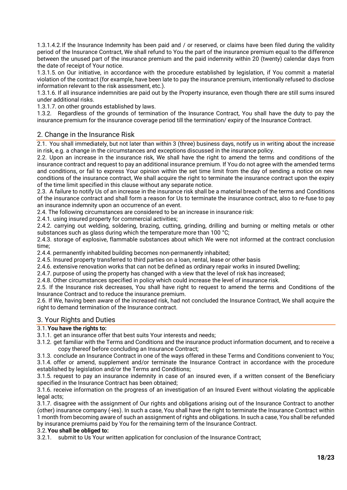1.3.1.4.2.If the Insurance Indemnity has been paid and / or reserved, or claims have been filed during the validity period of the Insurance Contract, We shall refund to You the part of the insurance premium equal to the difference between the unused part of the insurance premium and the paid indemnity within 20 (twenty) calendar days from the date of receipt of Your notice.

1.3.1.5. on Our initiative, in accordance with the procedure established by legislation, if You commit a material violation of the contract (for example, have been late to pay the insurance premium, intentionally refused to disclose information relevant to the risk assessment, etc.).

1.3.1.6. If all insurance indemnities are paid out by the Property insurance, even though there are still sums insured under additional risks.

1.3.1.7. on other grounds established by laws.

1.3.2. Regardless of the grounds of termination of the Insurance Contract, You shall have the duty to pay the insurance premium for the insurance coverage period till the termination/ expiry of the Insurance Contract.

## 2. Change in the Insurance Risk

2.1. You shall immediately, but not later than within 3 (three) business days, notify us in writing about the increase in risk, e.g. a change in the circumstances and exceptions discussed in the insurance policy.

2.2. Upon an increase in the insurance risk, We shall have the right to amend the terms and conditions of the insurance contract and request to pay an additional insurance premium. If You do not agree with the amended terms and conditions, or fail to express Your opinion within the set time limit from the day of sending a notice on new conditions of the insurance contract, We shall acquire the right to terminate the insurance contract upon the expiry of the time limit specified in this clause without any separate notice.

2.3. A failure to notify Us of an increase in the insurance risk shall be a material breach of the terms and Conditions of the insurance contract and shall form a reason for Us to terminate the insurance contract, also to re-fuse to pay an insurance indemnity upon an occurrence of an event.

2.4. The following circumstances are considered to be an increase in insurance risk:

2.4.1. using insured property for commercial activities;

2.4.2. carrying out welding, soldering, brazing, cutting, grinding, drilling and burning or melting metals or other substances such as glass during which the temperature more than 100 °C;

2.4.3. storage of explosive, flammable substances about which We were not informed at the contract conclusion time;

2.4.4. permanently inhabited building becomes non-permanently inhabited;

2.4.5. Insured property transferred to third parties on a loan, rental, lease or other basis

2.4.6. extensive renovation works that can not be defined as ordinary repair works in insured Dwelling;

2.4.7. purpose of using the property has changed with a view that the level of risk has increased;

2.4.8. Other circumstances specified in policy which could increase the level of insurance risk.

2.5. If the Insurance risk decreases, You shall have right to request to amend the terms and Conditions of the Insurance Contract and to reduce the insurance premium.

2.6. If We, having been aware of the increased risk, had not concluded the Insurance Contract, We shall acquire the right to demand termination of the Insurance contract.

## <span id="page-17-0"></span>3. Your Rights and Duties

## 3.1.**You have the rights to:**

- 3.1.1. get an insurance offer that best suits Your interests and needs;
- 3.1.2. get familiar with the Terms and Conditions and the insurance product information document, and to receive a copy thereof before concluding an Insurance Contract;
- 3.1.3. conclude an Insurance Contract in one of the ways offered in these Terms and Conditions convenient to You;

3.1.4. offer or amend, supplement and/or terminate the Insurance Contract in accordance with the procedure established by legislation and/or the Terms and Conditions;

3.1.5. request to pay an insurance indemnity in case of an insured even, if a written consent of the Beneficiary specified in the Insurance Contract has been obtained;

3.1.6. receive information on the progress of an investigation of an Insured Event without violating the applicable legal acts;

3.1.7. disagree with the assignment of Our rights and obligations arising out of the Insurance Contract to another (other) insurance company (-ies). In such a case, You shall have the right to terminate the Insurance Contract within 1 month from becoming aware of such an assignment of rights and obligations. In such a case, You shall be refunded by insurance premiums paid by You for the remaining term of the Insurance Contract.

### 3.2.**You shall be obliged to:**

3.2.1. submit to Us Your written application for conclusion of the Insurance Contract;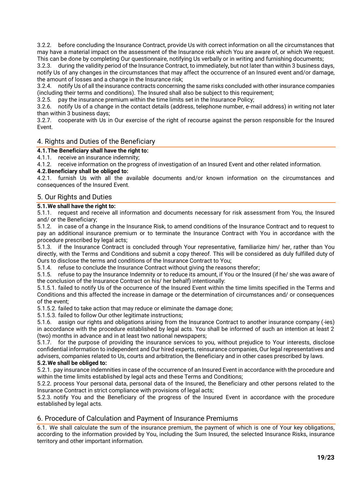3.2.2. before concluding the Insurance Contract, provide Us with correct information on all the circumstances that may have a material impact on the assessment of the Insurance risk which You are aware of, or which We request. This can be done by completing Our questionnaire, notifying Us verbally or in writing and furnishing documents;

3.2.3. during the validity period of the Insurance Contract, to immediately, but not later than within 3 business days, notify Us of any changes in the circumstances that may affect the occurrence of an Insured event and/or damage, the amount of losses and a change in the Insurance risk;

3.2.4. notify Us of all the insurance contracts concerning the same risks concluded with other insurance companies (including their terms and conditions). The Insured shall also be subject to this requirement;

3.2.5. pay the insurance premium within the time limits set in the Insurance Policy;

3.2.6. notify Us of a change in the contact details (address, telephone number, e-mail address) in writing not later than within 3 business days;

3.2.7. cooperate with Us in Our exercise of the right of recourse against the person responsible for the Insured Event.

## <span id="page-18-0"></span>4. Rights and Duties of the Beneficiary

**4.1.The Beneficiary shall have the right to:**

4.1.1. receive an insurance indemnity;

4.1.2. receive information on the progress of investigation of an Insured Event and other related information.

## **4.2.Beneficiary shall be obliged to:**

4.2.1. furnish Us with all the available documents and/or known information on the circumstances and consequences of the Insured Event.

## <span id="page-18-1"></span>5. Our Rights and Duties

## **5.1.We shall have the right to:**

5.1.1. request and receive all information and documents necessary for risk assessment from You, the Insured and/ or the Beneficiary;

5.1.2. in case of a change in the Insurance Risk, to amend conditions of the Insurance Contract and to request to pay an additional insurance premium or to terminate the Insurance Contract with You in accordance with the procedure prescribed by legal acts;

5.1.3. if the Insurance Contract is concluded through Your representative, familiarize him/ her, rather than You directly, with the Terms and Conditions and submit a copy thereof. This will be considered as duly fulfilled duty of Ours to disclose the terms and conditions of the Insurance Contract to You;

5.1.4. refuse to conclude the Insurance Contract without giving the reasons therefor;

5.1.5. refuse to pay the Insurance Indemnity or to reduce its amount, if You or the Insured (if he/ she was aware of the conclusion of the Insurance Contract on his/ her behalf) intentionally:

5.1.5.1. failed to notify Us of the occurrence of the Insured Event within the time limits specified in the Terms and Conditions and this affected the increase in damage or the determination of circumstances and/ or consequences of the event;

5.1.5.2. failed to take action that may reduce or eliminate the damage done;

5.1.5.3. failed to follow Our other legitimate instructions;

5.1.6. assign our rights and obligations arising from the Insurance Contract to another insurance company (-ies) in accordance with the procedure established by legal acts. You shall be informed of such an intention at least 2 (two) months in advance and in at least two national newspapers;

5.1.7. for the purpose of providing the insurance services to you, without prejudice to Your interests, disclose confidential information to independent and Our hired experts, reinsurance companies, Our legal representatives and advisers, companies related to Us, courts and arbitration, the Beneficiary and in other cases prescribed by laws.

## **5.2.We shall be obliged to:**

5.2.1. pay insurance indemnities in case of the occurrence of an Insured Event in accordance with the procedure and within the time limits established by legal acts and these Terms and Conditions;

5.2.2. process Your personal data, personal data of the Insured, the Beneficiary and other persons related to the Insurance Contract in strict compliance with provisions of legal acts;

5.2.3. notify You and the Beneficiary of the progress of the Insured Event in accordance with the procedure established by legal acts.

## <span id="page-18-2"></span>6. Procedure of Calculation and Payment of Insurance Premiums

6.1. We shall calculate the sum of the insurance premium, the payment of which is one of Your key obligations, according to the information provided by You, including the Sum Insured, the selected Insurance Risks, insurance territory and other important information.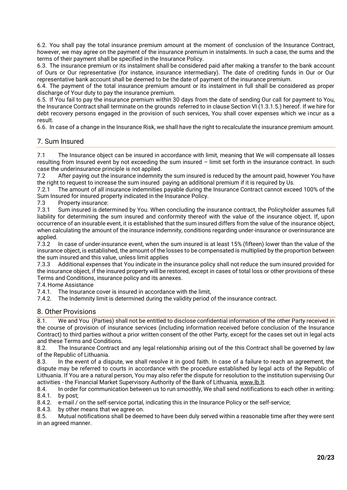6.2. You shall pay the total insurance premium amount at the moment of conclusion of the Insurance Contract, however, we may agree on the payment of the insurance premium in instalments. In such a case, the sums and the terms of their payment shall be specified in the Insurance Policy.

6.3. The insurance premium or its instalment shall be considered paid after making a transfer to the bank account of Ours or Our representative (for instance, insurance intermediary). The date of crediting funds in Our or Our representative bank account shall be deemed to be the date of payment of the insurance premium.

6.4. The payment of the total insurance premium amount or its instalment in full shall be considered as proper discharge of Your duty to pay the insurance premium.

6.5. If You fail to pay the insurance premium within 30 days from the date of sending Our call for payment to You, the Insurance Contract shall terminate on the grounds referred to in clause Section VI (1.3.1.5.) hereof. If we hire for debt recovery persons engaged in the provision of such services, You shall cover expenses which we incur as a result.

6.6. In case of a change in the Insurance Risk, we shall have the right to recalculate the insurance premium amount.

## <span id="page-19-0"></span>7. Sum Insured

7.1 The Insurance object can be insured in accordance with limit, meaning that We will compensate all losses resulting from Insured event by not exceeding the sum insured – limit set forth in the insurance contract. In such case the underinsurance principle is not applied.

7.2 After paying out the insurance indemnity the sum insured is reduced by the amount paid, however You have the right to request to increase the sum insured paying an additional premium if it is required by Us.

7.2.1 The amount of all insurance indemnities payable during the Insurance Contract cannot exceed 100% of the Sum Insured for insured property indicated in the Insurance Policy.

7.3 Property insurance:

7.3.1 Sum insured is determined by You. When concluding the insurance contract, the Policyholder assumes full liability for determining the sum insured and conformity thereof with the value of the insurance object. If, upon occurrence of an insurable event, it is established that the sum insured differs from the value of the insurance object, when calculating the amount of the insurance indemnity, conditions regarding under-insurance or overinsurance are applied.

7.3.2 In case of under-insurance event, when the sum insured is at least 15% (fifteen) lower than the value of the insurance object, is established, the amount of the losses to be compensated is multiplied by the proportion between the sum insured and this value, unless limit applies

7.3.3 Additional expenses that You indicate in the insurance policy shall not reduce the sum insured provided for the insurance object, if the insured property will be restored, except in cases of total loss or other provisions of these Terms and Conditions, insurance policy and its annexes.

7.4.Home Assistance

7.4.1. The Insurance cover is insured in accordance with the limit,

7.4.2. The Indemnity limit is determined during the validity period of the insurance contract.

## <span id="page-19-1"></span>8. Other Provisions

8.1. We and You (Parties) shall not be entitled to disclose confidential information of the other Party received in the course of provision of insurance services (including information received before conclusion of the Insurance Contract) to third parties without a prior written consent of the other Party, except for the cases set out in legal acts and these Terms and Conditions.

8.2. The Insurance Contract and any legal relationship arising out of the this Contract shall be governed by law of the Republic of Lithuania.

8.3. In the event of a dispute, we shall resolve it in good faith. In case of a failure to reach an agreement, the dispute may be referred to courts in accordance with the procedure established by legal acts of the Republic of Lithuania. If You are a natural person, You may also refer the dispute for resolution to the institution supervising Our activities - the Financial Market Supervisory Authority of the Bank of Lithuania, [www.lb.lt.](http://www.lb.lt/)

8.4. In order for communication between us to run smoothly, We shall send notifications to each other in writing: 8.4.1. by post;<br>8.4.2. e-mail /

e-mail / on the self-service portal, indicating this in the Insurance Policy or the self-service;

8.4.3. by other means that we agree on.

8.5. Mutual notifications shall be deemed to have been duly served within a reasonable time after they were sent in an agreed manner.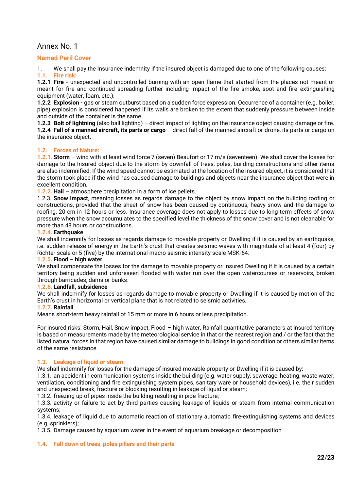## Annex No. 1

## **Named Peril Cover**

1. We shall pay the Insurance Indemnity if the insured object is damaged due to one of the following causes: **1.1. Fire risk:**

**1.2.1 Fire -** unexpected and uncontrolled burning with an open flame that started from the places not meant or meant for fire and continued spreading further including impact of the fire smoke, soot and fire extinguishing equipment (water, foam, etc.).

**1.2.2 Explosion -** gas or steam outburst based on a sudden force expression. Occurrence of a container (e.g. boiler, pipe) explosion is considered happened if its walls are broken to the extent that suddenly pressure between inside and outside of the container is the same.

**1.2.3 Bolt of lightning** (also ball lighting) – direct impact of lighting on the insurance object causing damage or fire. **1.2.4 Fall of a manned aircraft, its parts or cargo** – direct fall of the manned aircraft or drone, its parts or cargo on the insurance object.

### **1.2. Forces of Nature:**

**1.2.1. Storm** – wind with at least wind force 7 (seven) Beaufort or 17 m/s (seventeen). We shall cover the losses for damage to the Insured object due to the storm by downfall of trees, poles, building constructions and other items are also indemnified. If the wind speed cannot be estimated at the location of the insured object, it is considered that the storm took place if the wind has caused damage to buildings and objects near the insurance object that were in excellent condition.

**1.2.2. Hail** – atmosphere precipitation in a form of ice pellets.

1.2.3. **Snow impact**, meaning losses as regards damage to the object by snow impact on the building roofing or constructions, provided that the sheet of snow has been caused by continuous, heavy snow and the damage to roofing, 20 cm in 12 hours or less. Insurance coverage does not apply to losses due to long-term effects of snow pressure when the snow accumulates to the specified level the thickness of the snow cover and is not cleanable for more than 48 hours or constructions.

### **1.2.4. Earthquake**

We shall indemnify for losses as regards damage to movable property or Dwelling if it is caused by an earthquake, i.e. sudden release of energy in the Earth's crust that creates seismic waves with magnitude of at least 4 (four) by Richter scale or 5 (five) by the international macro seismic intensity scale MSK-64.

### **1.2.5. Flood – high water**

We shall compensate the losses for the damage to movable property or Insured Dwelling if it is caused by a certain territory being sudden and unforeseen flooded with water run over the open watercourses or reservoirs, broken through barricades, dams or banks.

### **1.2.6. Landfall, subsidence**

We shall indemnify for losses as regards damage to movable property or Dwelling if it is caused by motion of the Earth's crust in horizontal or vertical plane that is not related to seismic activities.

### **1.2.7. Rainfall**

Means short-term heavy rainfall of 15 mm or more in 6 hours or less precipitation.

For insured risks: Storm, Hail, Snow impact, Flood – high water, Rainfall quantitative parameters at insured territory is based on measurements made by the meteorological service in that or the nearest region and / or the fact that the listed natural forces in that region have caused similar damage to buildings in good condition or others similar items of the same resistance.

### **1.3. Leakage of liquid or steam**

We shall indemnify for losses for the damage of insured movable property or Dwelling if it is caused by:

1.3.1. an accident in communication systems inside the building (e.g. water supply, sewerage, heating, waste water, ventilation, conditioning and fire extinguishing system pipes, sanitary ware or household devices), i.e. their sudden and unexpected break, fracture or blocking resulting in leakage of liquid or steam;

1.3.2. freezing up of pipes inside the building resulting in pipe fracture;

1.3.3. activity or failure to act by third parties causing leakage of liquids or steam from internal communication systems;

1.3.4. leakage of liquid due to automatic reaction of stationary automatic fire-extinguishing systems and devices (e.g. sprinklers);

1.3.5. Damage caused by aquarium water in the event of aquarium breakage or decomposition

### **1.4. Fall down of trees, poles pillars and their parts**